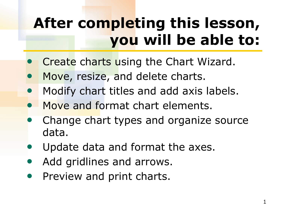# **After completing this lesson, you will be able to:**

- Create charts using the Chart Wizard.
- Move, resize, and delete charts.
- Modify chart titles and add axis labels.
- Move and format chart elements.
- Change chart types and organize source data.
- Update data and format the axes.
- Add gridlines and arrows.
- Preview and print charts.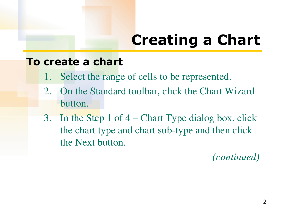# **Creating a Chart**

#### **To create a chart**

- 1. Select the range of cells to be represented.
- 2. On the Standard toolbar, click the Chart Wizard button.
- 3. In the Step 1 of 4 Chart Type dialog box, click the chart type and chart sub-type and then click the Next button.

*(continued)*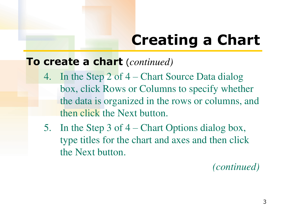# **Creating a Chart**

#### **To create a chart** (*continued)*

- 4. In the Step 2 of 4 Chart Source Data dialog box, click Rows or Columns to specify whether the data is organized in the rows or columns, and then click the Next button.
- 5. In the Step 3 of 4 Chart Options dialog box, type titles for the chart and axes and then click the Next button.

*(continued)*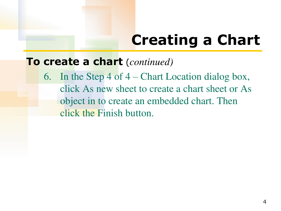# **Creating a Chart**

#### **To create a chart** (*continued)*

6. In the Step 4 of  $4$  – Chart Location dialog box, click As new sheet to create a chart sheet or As object in to create an embedded chart. Then click the Finish button.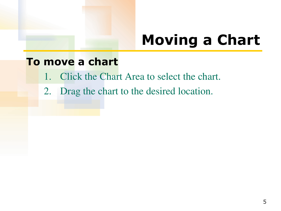# **Moving a Chart**

#### **To move a chart**

- 1. Click the Chart Area to select the chart.
- 2. Drag the chart to the desired location.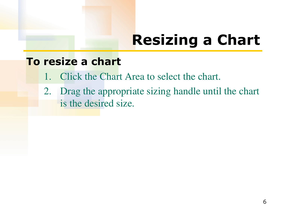# **Resizing a Chart**

#### **To resize a chart**

- 1. Click the Chart Area to select the chart.
- 2. Drag the appropriate sizing handle until the chart is the desired size.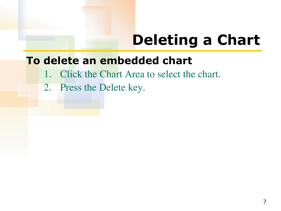# **Deleting a Chart**

#### **To delete an embedded chart**

- 1. Click the Chart Area to select the chart.
- 2. Press the Delete key.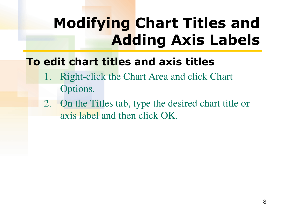# **Modifying Chart Titles and Adding Axis Labels**

#### **To edit chart titles and axis titles**

- 1. Right-click the Chart Area and click Chart Options.
- 2. On the Titles tab, type the desired chart title or axis label and then click OK.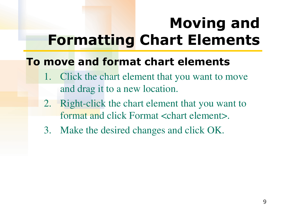# **Moving and Formatting Chart Elements**

#### **To move and format chart elements**

- 1. Click the chart element that you want to move and drag it to a new location.
- 2. Right-click the chart element that you want to format and click Format <chart element>.
- 3. Make the desired changes and click OK.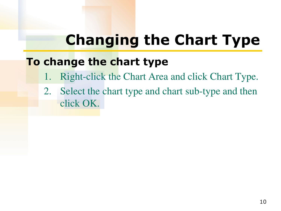# **Changing the Chart Type**

#### **To change the chart type**

- 1. Right-click the Chart Area and click Chart Type.
- 2. Select the chart type and chart sub-type and then click OK.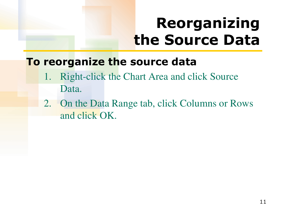### **Reorganizing the Source Data**

#### **To reorganize the source data**

- 1. Right-click the Chart Area and click Source Data.
- 2. On the Data Range tab, click Columns or Rows and click OK.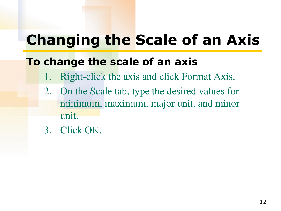### **Changing the Scale of an Axis**

#### **To change the scale of an axis**

- Right-click the axis and click Format Axis.
- 2. On the Scale tab, type the desired values for minimum, maximum, major unit, and minor unit.
- 3. Click OK.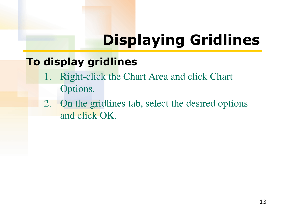# **Displaying Gridlines**

#### **To display gridlines**

- 1. Right-click the Chart Area and click Chart Options.
- 2. On the gridlines tab, select the desired options and click OK.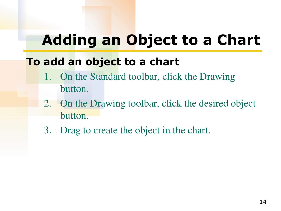#### **Adding an Object to a Chart**

#### **To add an object to a chart**

- 1. On the Standard toolbar, click the Drawing button.
- 2. On the Drawing toolbar, click the desired object button.
- 3. Drag to create the object in the chart.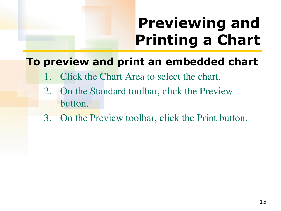# **Previewing and Printing a Chart**

#### **To preview and print an embedded chart**

- Click the Chart Area to select the chart.
- 2. On the Standard toolbar, click the Preview button.
- 3. On the Preview toolbar, click the Print button.